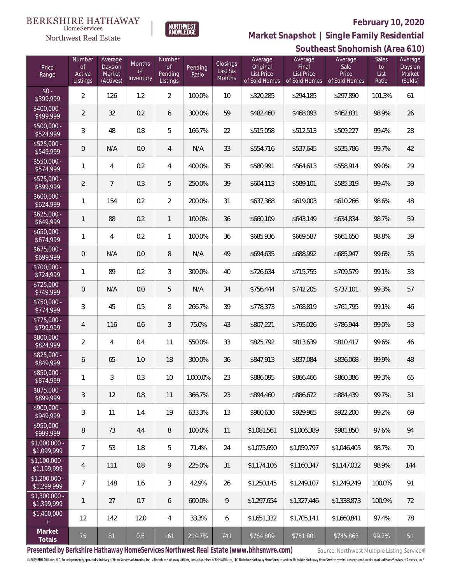

**BERKSHIRE HATHAWAY** 

 $\label{lem:sevices} \textsc{Home} \textsc{Service} \textsc{s}$ Northwest Real Estate

**Southeast Snohomish (Area 610) Market Snapshot | Single Family Residential**

|                               |                                           |                                           |                                         |                                                |                  |                                       |                                                           |                                                        | <u>JUULITEAST JITUHUHIISH (AFTA O FU)</u> |                                     |                                         |
|-------------------------------|-------------------------------------------|-------------------------------------------|-----------------------------------------|------------------------------------------------|------------------|---------------------------------------|-----------------------------------------------------------|--------------------------------------------------------|-------------------------------------------|-------------------------------------|-----------------------------------------|
| Price<br>Range                | Number<br><b>of</b><br>Active<br>Listings | Average<br>Days on<br>Market<br>(Actives) | <b>Months</b><br>$\circ f$<br>Inventory | Number<br>$\mathsf{of}$<br>Pending<br>Listings | Pending<br>Ratio | Closings<br>Last Six<br><b>Months</b> | Average<br>Original<br><b>List Price</b><br>of Sold Homes | Average<br>Final<br><b>List Price</b><br>of Sold Homes | Average<br>Sale<br>Price<br>of Sold Homes | <b>Sales</b><br>to<br>List<br>Ratio | Average<br>Days on<br>Market<br>(Solds) |
| $$0 -$<br>\$399,999           | 2                                         | 126                                       | 1.2                                     | $\overline{2}$                                 | 100.0%           | 10                                    | \$320,285                                                 | \$294,185                                              | \$297,890                                 | 101.3%                              | 61                                      |
| $$400,000 -$<br>\$499,999     | $\overline{2}$                            | 32                                        | 0.2                                     | 6                                              | 300.0%           | 59                                    | \$482,460                                                 | \$468,093                                              | \$462,831                                 | 98.9%                               | 26                                      |
| \$500,000 -<br>\$524,999      | 3                                         | 48                                        | 0.8                                     | 5                                              | 166.7%           | 22                                    | \$515,058                                                 | \$512,513                                              | \$509,227                                 | 99.4%                               | 28                                      |
| $$525,000 -$<br>\$549,999     | $\overline{0}$                            | N/A                                       | 0.0                                     | $\overline{4}$                                 | N/A              | 33                                    | \$554,716                                                 | \$537,645                                              | \$535,786                                 | 99.7%                               | 42                                      |
| $$550,000 -$<br>\$574,999     | 1                                         | $\overline{4}$                            | 0.2                                     | $\overline{4}$                                 | 400.0%           | 35                                    | \$580,991                                                 | \$564,613                                              | \$558,914                                 | 99.0%                               | 29                                      |
| $$575,000 -$<br>\$599,999     | 2                                         | $\overline{7}$                            | 0.3                                     | 5                                              | 250.0%           | 39                                    | \$604,113                                                 | \$589,101                                              | \$585,319                                 | 99.4%                               | 39                                      |
| $$600,000 -$<br>\$624,999     | 1                                         | 154                                       | 0.2                                     | $\overline{2}$                                 | 200.0%           | 31                                    | \$637,368                                                 | \$619,003                                              | \$610,266                                 | 98.6%                               | 48                                      |
| $$625,000 -$<br>\$649,999     | 1                                         | 88                                        | 0.2                                     | $\mathbf{1}$                                   | 100.0%           | 36                                    | \$660,109                                                 | \$643,149                                              | \$634,834                                 | 98.7%                               | 59                                      |
| $$650,000 -$<br>\$674,999     | 1                                         | $\overline{4}$                            | 0.2                                     | $\mathbf{1}$                                   | 100.0%           | 36                                    | \$685,936                                                 | \$669,587                                              | \$661,650                                 | 98.8%                               | 39                                      |
| $$675,000 -$<br>\$699,999     | $\overline{0}$                            | N/A                                       | 0.0                                     | $\, 8$                                         | N/A              | 49                                    | \$694,635                                                 | \$688,992                                              | \$685,947                                 | 99.6%                               | 35                                      |
| \$700,000 -<br>\$724,999      | 1                                         | 89                                        | 0.2                                     | 3                                              | 300.0%           | 40                                    | \$726,634                                                 | \$715,755                                              | \$709,579                                 | 99.1%                               | 33                                      |
| $$725,000 -$<br>\$749,999     | $\theta$                                  | N/A                                       | 0.0                                     | 5                                              | N/A              | 34                                    | \$756,444                                                 | \$742,205                                              | \$737,101                                 | 99.3%                               | 57                                      |
| $$750,000 -$<br>\$774,999     | 3                                         | 45                                        | 0.5                                     | 8                                              | 266.7%           | 39                                    | \$778,373                                                 | \$768,819                                              | \$761,795                                 | 99.1%                               | 46                                      |
| $$775,000 -$<br>\$799,999     | 4                                         | 116                                       | 0.6                                     | 3                                              | 75.0%            | 43                                    | \$807,221                                                 | \$795,026                                              | \$786,944                                 | 99.0%                               | 53                                      |
| \$800,000 -<br>\$824,999      | $\overline{2}$                            | $\overline{4}$                            | 0.4                                     | 11                                             | 550.0%           | 33                                    | \$825,792                                                 | \$813,639                                              | \$810,417                                 | 99.6%                               | 46                                      |
| \$825,000 -<br>\$849,999      | 6                                         | 65                                        | 1.0                                     | 18                                             | 300.0%           | 36                                    | \$847,913                                                 | \$837,084                                              | \$836,068                                 | 99.9%                               | 48                                      |
| \$850,000 -<br>\$874,999      |                                           | 3                                         | 0.3                                     | 10                                             | 1,000.0%         | 23                                    | \$886,095                                                 | \$866,466                                              | \$860,386                                 | 99.3%                               | 65                                      |
| \$875,000 -<br>\$899,999      | 3                                         | 12                                        | 0.8                                     | 11                                             | 366.7%           | 23                                    | \$894,460                                                 | \$886,672                                              | \$884,439                                 | 99.7%                               | 31                                      |
| $$900,000 -$<br>\$949,999     | 3                                         | 11                                        | 1.4                                     | 19                                             | 633.3%           | 13                                    | \$960,630                                                 | \$929,965                                              | \$922,200                                 | 99.2%                               | 69                                      |
| \$950,000 -<br>\$999,999      | 8                                         | 73                                        | 4.4                                     | 8                                              | 100.0%           | 11                                    | \$1,081,561                                               | \$1,006,389                                            | \$981,850                                 | 97.6%                               | 94                                      |
| \$1,000,000 -<br>\$1,099,999  | $\overline{7}$                            | 53                                        | 1.8                                     | 5                                              | 71.4%            | 24                                    | \$1,075,690                                               | \$1,059,797                                            | \$1,046,405                               | 98.7%                               | 70                                      |
| $$1,100,000 -$<br>\$1,199,999 | 4                                         | 111                                       | 0.8                                     | 9                                              | 225.0%           | 31                                    | \$1,174,106                                               | \$1,160,347                                            | \$1,147,032                               | 98.9%                               | 144                                     |
| \$1,200,000 -<br>\$1,299,999  | 7                                         | 148                                       | 1.6                                     | 3                                              | 42.9%            | 26                                    | \$1,250,145                                               | \$1,249,107                                            | \$1,249,249                               | 100.0%                              | 91                                      |
| \$1,300,000 -<br>\$1,399,999  | $\mathbf{1}$                              | 27                                        | 0.7                                     | 6                                              | 600.0%           | 9                                     | \$1,297,654                                               | \$1,327,446                                            | \$1,338,873                               | 100.9%                              | 72                                      |
| \$1,400,000<br>$\pm$          | 12                                        | 142                                       | 12.0                                    | $\overline{4}$                                 | 33.3%            | 6                                     | \$1,651,332                                               | \$1,705,141                                            | \$1,660,841                               | 97.4%                               | 78                                      |
| Market<br>Totals              | 75                                        | 81                                        | 0.6                                     | 161                                            | 214.7%           | 741                                   | \$764,809                                                 | \$751,801                                              | \$745,863                                 | 99.2%                               | 51                                      |

Presented by Berkshire Hathaway HomeServices Northwest Real Estate (www.bhhsnwre.com) Source: Northwest Multiple Listing Service®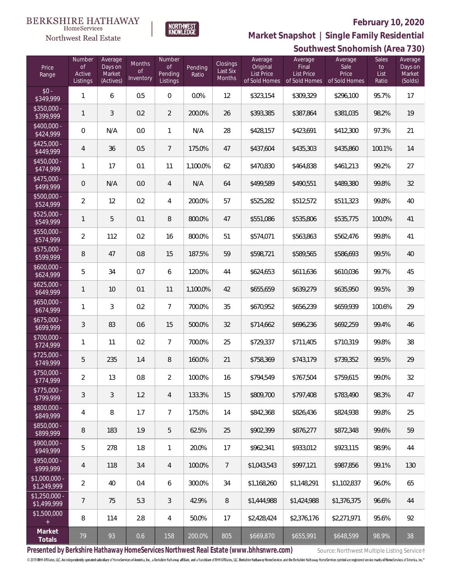

 $\label{lem:sevices} \textsc{Home} \textsc{Service} \textsc{s}$ Northwest Real Estate

**Southwest Snohomish (Area 730) Market Snapshot | Single Family Residential**

| Price<br>Range                | Number<br>0f<br>Active<br>Listings | Average<br>Days on<br>Market<br>(Actives) | Months<br>Οf<br>Inventory | Number<br>Οf<br>Pending<br>Listings | Pending<br>Ratio | <b>Closings</b><br>Last Six<br>Months | Average<br>Original<br><b>List Price</b><br>of Sold Homes | Average<br>Final<br><b>List Price</b><br>of Sold Homes | Average<br>Sale<br>Price<br>of Sold Homes | Sales<br>to<br>List<br>Ratio | - - /<br>Average<br>Days on<br>Market<br>(Solds) |
|-------------------------------|------------------------------------|-------------------------------------------|---------------------------|-------------------------------------|------------------|---------------------------------------|-----------------------------------------------------------|--------------------------------------------------------|-------------------------------------------|------------------------------|--------------------------------------------------|
| $$0 -$<br>\$349,999           | 1                                  | 6                                         | 0.5                       | $\mathbf 0$                         | 0.0%             | 12                                    | \$323,154                                                 | \$309,329                                              | \$296,100                                 | 95.7%                        | 17                                               |
| \$350,000 -<br>\$399,999      | $\mathbf{1}$                       | 3                                         | 0.2                       | $\overline{2}$                      | 200.0%           | 26                                    | \$393,385                                                 | \$387,864                                              | \$381,035                                 | 98.2%                        | 19                                               |
| $$400,000 -$<br>\$424,999     | 0                                  | N/A                                       | 0.0                       | $\mathbf{1}$                        | N/A              | 28                                    | \$428,157                                                 | \$423,691                                              | \$412,300                                 | 97.3%                        | 21                                               |
| $$425,000 -$<br>\$449,999     | $\overline{4}$                     | 36                                        | 0.5                       | $\overline{7}$                      | 175.0%           | 47                                    | \$437,604                                                 | \$435,303                                              | \$435,860                                 | 100.1%                       | 14                                               |
| $$450,000 -$<br>\$474,999     | 1                                  | 17                                        | 0.1                       | 11                                  | 1,100.0%         | 62                                    | \$470,830                                                 | \$464,838                                              | \$461,213                                 | 99.2%                        | 27                                               |
| $$475,000 -$<br>\$499,999     | $\mathsf{O}\xspace$                | N/A                                       | 0.0                       | 4                                   | N/A              | 64                                    | \$499,589                                                 | \$490,551                                              | \$489,380                                 | 99.8%                        | 32                                               |
| $$500,000 -$<br>\$524,999     | $\overline{2}$                     | 12                                        | 0.2                       | $\overline{4}$                      | 200.0%           | 57                                    | \$525,282                                                 | \$512,572                                              | \$511,323                                 | 99.8%                        | 40                                               |
| $$525,000 -$<br>\$549,999     | 1                                  | 5                                         | 0.1                       | $\,8\,$                             | 800.0%           | 47                                    | \$551,086                                                 | \$535,806                                              | \$535,775                                 | 100.0%                       | 41                                               |
| $$550,000 -$<br>\$574,999     | $\overline{2}$                     | 112                                       | 0.2                       | 16                                  | 800.0%           | 51                                    | \$574,071                                                 | \$563,863                                              | \$562,476                                 | 99.8%                        | 41                                               |
| $$575,000 -$<br>\$599,999     | $\, 8$                             | 47                                        | 0.8                       | 15                                  | 187.5%           | 59                                    | \$598,721                                                 | \$589,565                                              | \$586,693                                 | 99.5%                        | 40                                               |
| $$600,000 -$<br>\$624,999     | 5                                  | 34                                        | 0.7                       | 6                                   | 120.0%           | 44                                    | \$624,653                                                 | \$611,636                                              | \$610,036                                 | 99.7%                        | 45                                               |
| $$625,000 -$<br>\$649,999     | $\mathbf{1}$                       | 10                                        | 0.1                       | 11                                  | 1,100.0%         | 42                                    | \$655,659                                                 | \$639,279                                              | \$635,950                                 | 99.5%                        | 39                                               |
| $$650,000 -$<br>\$674,999     | $\mathbf{1}$                       | 3                                         | 0.2                       | $\overline{7}$                      | 700.0%           | 35                                    | \$670,952                                                 | \$656,239                                              | \$659,939                                 | 100.6%                       | 29                                               |
| $$675,000 -$<br>\$699,999     | $\sqrt{3}$                         | 83                                        | 0.6                       | 15                                  | 500.0%           | 32                                    | \$714,662                                                 | \$696,236                                              | \$692,259                                 | 99.4%                        | 46                                               |
| \$700,000 -<br>\$724,999      | 1                                  | 11                                        | 0.2                       | $\overline{7}$                      | 700.0%           | 25                                    | \$729,337                                                 | \$711,405                                              | \$710,319                                 | 99.8%                        | 38                                               |
| $$725,000 -$<br>\$749,999     | 5                                  | 235                                       | 1.4                       | $\, 8$                              | 160.0%           | 21                                    | \$758,369                                                 | \$743,179                                              | \$739,352                                 | 99.5%                        | 29                                               |
| \$750,000 -<br>\$774,999      | $\overline{2}$                     | 13                                        | 0.8                       | $\overline{2}$                      | 100.0%           | 16                                    | \$794,549                                                 | \$767,504                                              | \$759,615                                 | 99.0%                        | 32                                               |
| $$775,000 -$<br>\$799,999     | 3                                  | $\mathfrak{Z}$                            | 1.2                       | $\overline{4}$                      | 133.3%           | 15                                    | \$809,700                                                 | \$797,408                                              | \$783,490                                 | 98.3%                        | 47                                               |
| \$800,000 -<br>\$849,999      | 4                                  | 8                                         | 1.7                       | $\overline{7}$                      | 175.0%           | 14                                    | \$842,368                                                 | \$826,436                                              | \$824,938                                 | 99.8%                        | 25                                               |
| \$850,000 -<br>\$899,999      | 8                                  | 183                                       | 1.9                       | 5                                   | 62.5%            | 25                                    | \$902,399                                                 | \$876,277                                              | \$872,348                                 | 99.6%                        | 59                                               |
| \$900,000 -<br>\$949,999      | 5                                  | 278                                       | 1.8                       | $\mathbf{1}$                        | 20.0%            | 17                                    | \$962,341                                                 | \$933,012                                              | \$923,115                                 | 98.9%                        | 44                                               |
| $$950,000 -$<br>\$999,999     | 4                                  | 118                                       | 3.4                       | $\overline{4}$                      | 100.0%           | $\overline{7}$                        | \$1,043,543                                               | \$997,121                                              | \$987,856                                 | 99.1%                        | 130                                              |
| $$1,000,000 -$<br>\$1,249,999 | $\overline{2}$                     | 40                                        | 0.4                       | $\boldsymbol{6}$                    | 300.0%           | 34                                    | \$1,168,260                                               | \$1,148,291                                            | \$1,102,837                               | 96.0%                        | 65                                               |
| $$1,250,000 -$<br>\$1,499,999 | 7                                  | 75                                        | 5.3                       | $\mathfrak{Z}$                      | 42.9%            | 8                                     | \$1,444,988                                               | \$1,424,988                                            | \$1,376,375                               | 96.6%                        | 44                                               |
| \$1,500,000<br>$+$            | 8                                  | 114                                       | 2.8                       | $\overline{4}$                      | 50.0%            | 17                                    | \$2,428,424                                               | \$2,376,176                                            | \$2,271,971                               | 95.6%                        | 92                                               |
| Market<br>Totals              | 79                                 | 93                                        | 0.6                       | 158                                 | 200.0%           | 805                                   | \$669,870                                                 | \$655,991                                              | \$648,599                                 | 98.9%                        | 38                                               |

Presented by Berkshire Hathaway HomeServices Northwest Real Estate (www.bhhsnwre.com) Source: Northwest Multiple Listing Service®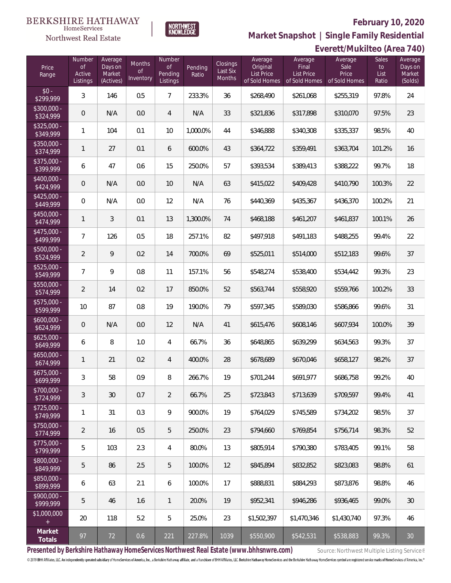

**Market Snapshot | Single Family Residential**

#### $\label{lem:sevices} \textsc{Home} \textsc{Service} \textsc{s}$ Northwest Real Estate

**BERKSHIRE HATHAWAY** 

|                           | Everett/Mukilteo (Area 740)        |                                           |                                  |                                            |                  |                                |                                                    |                                                        |                                           |                              |                                         |
|---------------------------|------------------------------------|-------------------------------------------|----------------------------------|--------------------------------------------|------------------|--------------------------------|----------------------------------------------------|--------------------------------------------------------|-------------------------------------------|------------------------------|-----------------------------------------|
| Price<br>Range            | Number<br>0f<br>Active<br>Listings | Average<br>Days on<br>Market<br>(Actives) | Months<br><b>of</b><br>Inventory | Number<br><b>of</b><br>Pending<br>Listings | Pending<br>Ratio | Closings<br>Last Six<br>Months | Average<br>Original<br>List Price<br>of Sold Homes | Average<br>Final<br><b>List Price</b><br>of Sold Homes | Average<br>Sale<br>Price<br>of Sold Homes | Sales<br>to<br>List<br>Ratio | Average<br>Days on<br>Market<br>(Solds) |
| $$0 -$<br>\$299,999       | $\mathfrak{Z}$                     | 146                                       | 0.5                              | $\overline{7}$                             | 233.3%           | 36                             | \$268,490                                          | \$261,068                                              | \$255,319                                 | 97.8%                        | 24                                      |
| \$300,000 -<br>\$324,999  | $\mathbf 0$                        | N/A                                       | 0.0                              | 4                                          | N/A              | 33                             | \$321,836                                          | \$317,898                                              | \$310,070                                 | 97.5%                        | 23                                      |
| $$325,000 -$<br>\$349,999 | 1                                  | 104                                       | 0.1                              | 10                                         | 1,000.0%         | 44                             | \$346,888                                          | \$340,308                                              | \$335,337                                 | 98.5%                        | $40\,$                                  |
| \$350,000 -<br>\$374,999  | 1                                  | 27                                        | 0.1                              | 6                                          | 600.0%           | 43                             | \$364,722                                          | \$359,491                                              | \$363,704                                 | 101.2%                       | 16                                      |
| \$375,000 -<br>\$399,999  | 6                                  | 47                                        | 0.6                              | 15                                         | 250.0%           | 57                             | \$393,534                                          | \$389,413                                              | \$388,222                                 | 99.7%                        | 18                                      |
| \$400,000 -<br>\$424,999  | $\mathbf 0$                        | N/A                                       | 0.0                              | 10                                         | N/A              | 63                             | \$415,022                                          | \$409,428                                              | \$410,790                                 | 100.3%                       | 22                                      |
| $$425,000 -$<br>\$449,999 | 0                                  | N/A                                       | 0.0                              | 12                                         | N/A              | 76                             | \$440,369                                          | \$435,367                                              | \$436,370                                 | 100.2%                       | 21                                      |
| \$450,000 -<br>\$474,999  | 1                                  | 3                                         | 0.1                              | 13                                         | 1,300.0%         | 74                             | \$468,188                                          | \$461,207                                              | \$461,837                                 | 100.1%                       | 26                                      |
| \$475,000 -<br>\$499,999  | 7                                  | 126                                       | 0.5                              | 18                                         | 257.1%           | 82                             | \$497,918                                          | \$491,183                                              | \$488,255                                 | 99.4%                        | 22                                      |
| \$500,000 -<br>\$524,999  | $\overline{2}$                     | 9                                         | 0.2                              | 14                                         | 700.0%           | 69                             | \$525,011                                          | \$514,000                                              | \$512,183                                 | 99.6%                        | 37                                      |
| \$525,000 -<br>\$549,999  | 7                                  | 9                                         | 0.8                              | 11                                         | 157.1%           | 56                             | \$548,274                                          | \$538,400                                              | \$534,442                                 | 99.3%                        | 23                                      |
| $$550,000 -$<br>\$574,999 | $\overline{2}$                     | 14                                        | 0.2                              | 17                                         | 850.0%           | 52                             | \$563,744                                          | \$558,920                                              | \$559,766                                 | 100.2%                       | 33                                      |
| $$575,000 -$<br>\$599,999 | 10                                 | 87                                        | 0.8                              | 19                                         | 190.0%           | 79                             | \$597,345                                          | \$589,030                                              | \$586,866                                 | 99.6%                        | 31                                      |
| \$600,000 -<br>\$624,999  | $\mathsf{O}\xspace$                | N/A                                       | 0.0                              | 12                                         | N/A              | 41                             | \$615,476                                          | \$608,146                                              | \$607,934                                 | 100.0%                       | 39                                      |
| $$625,000 -$<br>\$649,999 | 6                                  | 8                                         | 1.0                              | 4                                          | 66.7%            | 36                             | \$648,865                                          | \$639,299                                              | \$634,563                                 | 99.3%                        | 37                                      |
| $$650,000 -$<br>\$674,999 | 1                                  | 21                                        | 0.2                              | 4                                          | 400.0%           | 28                             | \$678,689                                          | \$670,046                                              | \$658,127                                 | 98.2%                        | 37                                      |
| \$675,000 -<br>\$699,999  | 3                                  | 58                                        | 0.9                              | 8                                          | 266.7%           | 19                             | \$701,244                                          | \$691,977                                              | \$686,758                                 | 99.2%                        | 40                                      |
| \$700,000 -<br>\$724,999  | 3                                  | 30                                        | 0.7                              | $\overline{2}$                             | 66.7%            | 25                             | \$723,843                                          | \$713,639                                              | \$709,597                                 | 99.4%                        | 41                                      |
| $$725.000 -$<br>\$749,999 | 1                                  | 31                                        | 0.3                              | 9                                          | 900.0%           | 19                             | \$764,029                                          | \$745,589                                              | \$734,202                                 | 98.5%                        | 37                                      |
| $$750,000 -$<br>\$774,999 | $\overline{2}$                     | 16                                        | 0.5                              | 5                                          | 250.0%           | 23                             | \$794.660                                          | \$769,854                                              | \$756,714                                 | 98.3%                        | 52                                      |
| $$775,000 -$<br>\$799,999 | 5                                  | 103                                       | 2.3                              | 4                                          | 80.0%            | 13                             | \$805,914                                          | \$790,380                                              | \$783,405                                 | 99.1%                        | 58                                      |
| \$800,000 -<br>\$849,999  | 5                                  | 86                                        | 2.5                              | 5                                          | 100.0%           | 12                             | \$845.894                                          | \$832,852                                              | \$823,083                                 | 98.8%                        | 61                                      |
| \$850,000 -<br>\$899,999  | 6                                  | 63                                        | 2.1                              | 6                                          | 100.0%           | 17                             | \$888,831                                          | \$884,293                                              | \$873,876                                 | 98.8%                        | 46                                      |
| $$900,000 -$<br>\$999,999 | 5                                  | 46                                        | 1.6                              | $\mathbf{1}$                               | 20.0%            | 19                             | \$952,341                                          | \$946,286                                              | \$936,465                                 | 99.0%                        | 30                                      |
| \$1,000,000<br>$+$        | 20                                 | 118                                       | 5.2                              | 5                                          | 25.0%            | 23                             | \$1,502,397                                        | \$1,470,346                                            | \$1,430,740                               | 97.3%                        | 46                                      |
| Market<br>Totals          | 97                                 | 72                                        | 0.6                              | 221                                        | 227.8%           | 1039                           | \$550,900                                          | \$542,531                                              | \$538,883                                 | 99.3%                        | 30                                      |

Presented by Berkshire Hathaway HomeServices Northwest Real Estate (www.bhhsnwre.com) Source: Northwest Multiple Listing Service®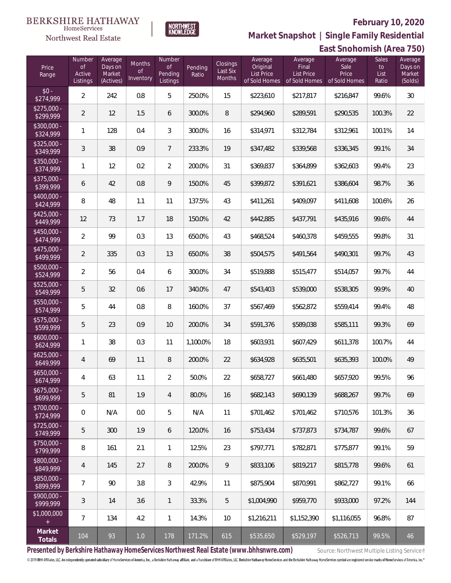

**East Snohomish (Area 750) Market Snapshot | Single Family Residential**

# **BERKSHIRE HATHAWAY**  $\label{lem:sevices} \textsc{Home} \textsc{Service} \textsc{s}$ Northwest Real Estate

| Price<br>Range            | Number<br>$\circ$ f<br>Active<br>Listings | Average<br>Days on<br>Market<br>(Actives) | Months<br>$\circ$ f<br>Inventory | Number<br><b>of</b><br>Pending<br>Listings | Pending<br>Ratio | Closings<br>Last Six<br>Months | Average<br>Original<br>List Price<br>of Sold Homes | Average<br>Final<br><b>List Price</b><br>of Sold Homes | Average<br>Sale<br>Price<br>of Sold Homes | <b>Sales</b><br>to<br>List<br>Ratio | Average<br>Days on<br>Market<br>(Solds) |
|---------------------------|-------------------------------------------|-------------------------------------------|----------------------------------|--------------------------------------------|------------------|--------------------------------|----------------------------------------------------|--------------------------------------------------------|-------------------------------------------|-------------------------------------|-----------------------------------------|
| $$0 -$<br>\$274,999       | $\overline{2}$                            | 242                                       | 0.8                              | 5                                          | 250.0%           | 15                             | \$223,610                                          | \$217,817                                              | \$216,847                                 | 99.6%                               | 30                                      |
| $$275,000 -$<br>\$299,999 | $\overline{2}$                            | 12                                        | 1.5                              | 6                                          | 300.0%           | $\, 8$                         | \$294,960                                          | \$289,591                                              | \$290,535                                 | 100.3%                              | 22                                      |
| $$300,000 -$<br>\$324,999 | 1                                         | 128                                       | 0.4                              | 3                                          | 300.0%           | 16                             | \$314,971                                          | \$312,784                                              | \$312,961                                 | 100.1%                              | 14                                      |
| $$325,000 -$<br>\$349,999 | 3                                         | 38                                        | 0.9                              | $\overline{7}$                             | 233.3%           | 19                             | \$347,482                                          | \$339,568                                              | \$336,345                                 | 99.1%                               | 34                                      |
| $$350,000 -$<br>\$374,999 | 1                                         | 12                                        | 0.2                              | $\overline{2}$                             | 200.0%           | 31                             | \$369,837                                          | \$364,899                                              | \$362,603                                 | 99.4%                               | 23                                      |
| \$375,000 -<br>\$399,999  | 6                                         | 42                                        | 0.8                              | 9                                          | 150.0%           | 45                             | \$399,872                                          | \$391,621                                              | \$386,604                                 | 98.7%                               | 36                                      |
| $$400,000 -$<br>\$424,999 | 8                                         | 48                                        | 1.1                              | 11                                         | 137.5%           | 43                             | \$411,261                                          | \$409,097                                              | \$411,608                                 | 100.6%                              | 26                                      |
| $$425,000 -$<br>\$449,999 | 12                                        | 73                                        | 1.7                              | 18                                         | 150.0%           | 42                             | \$442,885                                          | \$437,791                                              | \$435,916                                 | 99.6%                               | 44                                      |
| $$450,000 -$<br>\$474,999 | $\overline{2}$                            | 99                                        | 0.3                              | 13                                         | 650.0%           | 43                             | \$468,524                                          | \$460,378                                              | \$459,555                                 | 99.8%                               | 31                                      |
| $$475,000 -$<br>\$499,999 | 2                                         | 335                                       | 0.3                              | 13                                         | 650.0%           | 38                             | \$504,575                                          | \$491,564                                              | \$490,301                                 | 99.7%                               | 43                                      |
| $$500,000 -$<br>\$524,999 | $\overline{2}$                            | 56                                        | 0.4                              | 6                                          | 300.0%           | 34                             | \$519,888                                          | \$515,477                                              | \$514,057                                 | 99.7%                               | 44                                      |
| $$525,000 -$<br>\$549,999 | 5                                         | 32                                        | 0.6                              | 17                                         | 340.0%           | 47                             | \$543,403                                          | \$539,000                                              | \$538,305                                 | 99.9%                               | 40                                      |
| $$550,000 -$<br>\$574,999 | 5                                         | 44                                        | 0.8                              | 8                                          | 160.0%           | 37                             | \$567,469                                          | \$562,872                                              | \$559,414                                 | 99.4%                               | 48                                      |
| \$575,000 -<br>\$599,999  | 5                                         | 23                                        | 0.9                              | 10                                         | 200.0%           | 34                             | \$591,376                                          | \$589,038                                              | \$585,111                                 | 99.3%                               | 69                                      |
| $$600,000 -$<br>\$624,999 | 1                                         | 38                                        | 0.3                              | 11                                         | 1,100.0%         | 18                             | \$603,931                                          | \$607,429                                              | \$611,378                                 | 100.7%                              | 44                                      |
| $$625,000 -$<br>\$649,999 | 4                                         | 69                                        | 1.1                              | 8                                          | 200.0%           | 22                             | \$634,928                                          | \$635,501                                              | \$635,393                                 | 100.0%                              | 49                                      |
| $$650,000 -$<br>\$674,999 | 4                                         | 63                                        | 1.1                              | $\overline{2}$                             | 50.0%            | 22                             | \$658,727                                          | \$661,480                                              | \$657,920                                 | 99.5%                               | 96                                      |
| $$675,000 -$<br>\$699,999 | 5                                         | 81                                        | 1.9                              | 4                                          | 80.0%            | 16                             | \$682,143                                          | \$690,139                                              | \$688,267                                 | 99.7%                               | 69                                      |
| $$700,000 -$<br>\$724,999 | $\overline{0}$                            | N/A                                       | 0.0                              | 5                                          | N/A              | 11                             | \$701,462                                          | \$701,462                                              | \$710,576                                 | 101.3%                              | 36                                      |
| $$725,000 -$<br>\$749,999 | 5                                         | 300                                       | 1.9                              | 6                                          | 120.0%           | 16                             | \$753,434                                          | \$737,873                                              | \$734,787                                 | 99.6%                               | 67                                      |
| $$750,000 -$<br>\$799,999 | 8                                         | 161                                       | 2.1                              | $\mathbf{1}$                               | 12.5%            | 23                             | \$797,771                                          | \$782,871                                              | \$775,877                                 | 99.1%                               | 59                                      |
| $$800,000 -$<br>\$849,999 | 4                                         | 145                                       | 2.7                              | 8                                          | 200.0%           | 9                              | \$833,106                                          | \$819,217                                              | \$815,778                                 | 99.6%                               | 61                                      |
| \$850,000 -<br>\$899,999  | 7                                         | 90                                        | 3.8                              | 3                                          | 42.9%            | 11                             | \$875,904                                          | \$870,991                                              | \$862,727                                 | 99.1%                               | 66                                      |
| $$900,000 -$<br>\$999,999 | 3                                         | 14                                        | 3.6                              | 1                                          | 33.3%            | 5                              | \$1,004,990                                        | \$959,770                                              | \$933,000                                 | 97.2%                               | 144                                     |
| \$1,000,000               | $\overline{7}$                            | 134                                       | 4.2                              | $\mathbf{1}$                               | 14.3%            | 10                             | \$1,216,211                                        | \$1,152,390                                            | \$1,116,055                               | 96.8%                               | 87                                      |
| Market<br>Totals          | 104                                       | 93                                        | $1.0$                            | 178                                        | 171.2%           | 615                            | \$535,650                                          | \$529,197                                              | \$526,713                                 | 99.5%                               | 46                                      |

Presented by Berkshire Hathaway HomeServices Northwest Real Estate (www.bhhsnwre.com) Source: Northwest Multiple Listing Service®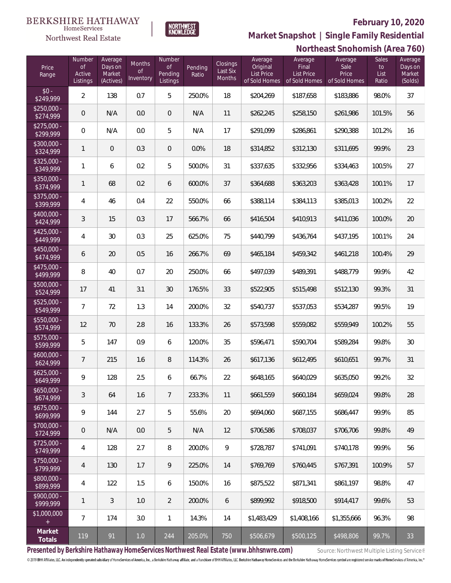

 $\label{lem:sevices} \textsc{Home} \textsc{Service} \textsc{s}$ Northwest Real Estate

### **Northeast Snohomish (Area 760) Market Snapshot | Single Family Residential**

|                           |                                           |                                           |                                         |                                            |                  |                                |                                                           |                                                        | $\sim$                                    |                              |                                         |
|---------------------------|-------------------------------------------|-------------------------------------------|-----------------------------------------|--------------------------------------------|------------------|--------------------------------|-----------------------------------------------------------|--------------------------------------------------------|-------------------------------------------|------------------------------|-----------------------------------------|
| Price<br>Range            | Number<br><b>of</b><br>Active<br>Listings | Average<br>Days on<br>Market<br>(Actives) | <b>Months</b><br><b>of</b><br>Inventory | Number<br><b>of</b><br>Pending<br>Listings | Pending<br>Ratio | Closings<br>Last Six<br>Months | Average<br>Original<br><b>List Price</b><br>of Sold Homes | Average<br>Final<br><b>List Price</b><br>of Sold Homes | Average<br>Sale<br>Price<br>of Sold Homes | Sales<br>to<br>List<br>Ratio | Average<br>Days on<br>Market<br>(Solds) |
| $$0 -$<br>\$249,999       | $\overline{2}$                            | 138                                       | 0.7                                     | 5                                          | 250.0%           | 18                             | \$204,269                                                 | \$187,658                                              | \$183,886                                 | 98.0%                        | 37                                      |
| $$250,000 -$<br>\$274,999 | $\mathsf{O}\xspace$                       | N/A                                       | 0.0                                     | $\overline{0}$                             | N/A              | 11                             | \$262,245                                                 | \$258,150                                              | \$261,986                                 | 101.5%                       | 56                                      |
| $$275,000 -$<br>\$299,999 | $\mathbf 0$                               | N/A                                       | 0.0                                     | $\mathbf 5$                                | N/A              | 17                             | \$291,099                                                 | \$286,861                                              | \$290,388                                 | 101.2%                       | 16                                      |
| $$300,000 -$<br>\$324,999 | $\mathbf{1}$                              | $\mathbf 0$                               | 0.3                                     | $\overline{0}$                             | 0.0%             | 18                             | \$314,852                                                 | \$312,130                                              | \$311,695                                 | 99.9%                        | 23                                      |
| $$325,000 -$<br>\$349,999 | $\mathbf{1}$                              | 6                                         | 0.2                                     | $\mathbf 5$                                | 500.0%           | 31                             | \$337,635                                                 | \$332,956                                              | \$334,463                                 | 100.5%                       | 27                                      |
| $$350,000 -$<br>\$374,999 | $\mathbf{1}$                              | 68                                        | 0.2                                     | 6                                          | 600.0%           | 37                             | \$364,688                                                 | \$363,203                                              | \$363,428                                 | 100.1%                       | 17                                      |
| $$375,000 -$<br>\$399,999 | 4                                         | 46                                        | 0.4                                     | 22                                         | 550.0%           | 66                             | \$388,114                                                 | \$384,113                                              | \$385,013                                 | 100.2%                       | 22                                      |
| $$400,000 -$<br>\$424,999 | $\mathfrak{Z}$                            | 15                                        | 0.3                                     | 17                                         | 566.7%           | 66                             | \$416,504                                                 | \$410,913                                              | \$411,036                                 | 100.0%                       | $20\,$                                  |
| $$425,000 -$<br>\$449,999 | 4                                         | 30                                        | 0.3                                     | 25                                         | 625.0%           | 75                             | \$440,799                                                 | \$436,764                                              | \$437,195                                 | 100.1%                       | 24                                      |
| $$450,000 -$<br>\$474,999 | 6                                         | 20                                        | 0.5                                     | 16                                         | 266.7%           | 69                             | \$465,184                                                 | \$459,342                                              | \$461,218                                 | 100.4%                       | 29                                      |
| $$475,000 -$<br>\$499,999 | $\, 8$                                    | 40                                        | 0.7                                     | 20                                         | 250.0%           | 66                             | \$497,039                                                 | \$489,391                                              | \$488,779                                 | 99.9%                        | 42                                      |
| $$500,000 -$<br>\$524,999 | 17                                        | 41                                        | 3.1                                     | 30                                         | 176.5%           | 33                             | \$522,905                                                 | \$515,498                                              | \$512,130                                 | 99.3%                        | 31                                      |
| $$525,000 -$<br>\$549,999 | $\overline{7}$                            | 72                                        | 1.3                                     | 14                                         | 200.0%           | 32                             | \$540,737                                                 | \$537,053                                              | \$534,287                                 | 99.5%                        | 19                                      |
| $$550,000 -$<br>\$574,999 | 12                                        | 70                                        | 2.8                                     | 16                                         | 133.3%           | 26                             | \$573,598                                                 | \$559,082                                              | \$559,949                                 | 100.2%                       | 55                                      |
| $$575,000 -$<br>\$599,999 | 5                                         | 147                                       | 0.9                                     | 6                                          | 120.0%           | 35                             | \$596,471                                                 | \$590,704                                              | \$589,284                                 | 99.8%                        | 30                                      |
| $$600,000 -$<br>\$624,999 | $\overline{7}$                            | 215                                       | 1.6                                     | $\, 8$                                     | 114.3%           | 26                             | \$617,136                                                 | \$612,495                                              | \$610,651                                 | 99.7%                        | 31                                      |
| $$625,000 -$<br>\$649,999 | 9                                         | 128                                       | 2.5                                     | 6                                          | 66.7%            | 22                             | \$648,165                                                 | \$640,029                                              | \$635,050                                 | 99.2%                        | 32                                      |
| $$650,000 -$<br>\$674,999 | 3                                         | 64                                        | 1.6                                     | $7\phantom{.0}$                            | 233.3%           | 11                             | \$661,559                                                 | \$660,184                                              | \$659,024                                 | 99.8%                        | 28                                      |
| $$675,000 -$<br>\$699,999 | 9                                         | 144                                       | 2.7                                     | 5                                          | 55.6%            | 20                             | \$694,060                                                 | \$687,155                                              | \$686,447                                 | 99.9%                        | 85                                      |
| \$700,000 -<br>\$724,999  | $\mathbf 0$                               | N/A                                       | 0.0                                     | $5\,$                                      | N/A              | 12                             | \$706,586                                                 | \$708,037                                              | \$706,706                                 | 99.8%                        | 49                                      |
| $$725,000 -$<br>\$749,999 | 4                                         | 128                                       | 2.7                                     | $\, 8$                                     | 200.0%           | $\mathsf{Q}$                   | \$728,787                                                 | \$741,091                                              | \$740,178                                 | 99.9%                        | 56                                      |
| $$750,000 -$<br>\$799,999 | $\overline{4}$                            | 130                                       | 1.7                                     | $\overline{9}$                             | 225.0%           | 14                             | \$769,769                                                 | \$760,445                                              | \$767,391                                 | 100.9%                       | 57                                      |
| \$800,000 -<br>\$899,999  | 4                                         | 122                                       | 1.5                                     | $\boldsymbol{6}$                           | 150.0%           | 16                             | \$875,522                                                 | \$871,341                                              | \$861,197                                 | 98.8%                        | 47                                      |
| \$900,000 -<br>\$999,999  | $\mathbf{1}$                              | 3                                         | 1.0                                     | $\overline{2}$                             | 200.0%           | 6                              | \$899,992                                                 | \$918,500                                              | \$914,417                                 | 99.6%                        | 53                                      |
| \$1,000,000<br>$\pm$      | $\overline{7}$                            | 174                                       | 3.0                                     | $\overline{1}$                             | 14.3%            | 14                             | \$1,483,429                                               | \$1,408,166                                            | \$1,355,666                               | 96.3%                        | 98                                      |
| Market<br>Totals          | 119                                       | 91                                        | 1.0                                     | 244                                        | 205.0%           | 750                            | \$506,679                                                 | \$500,125                                              | \$498,806                                 | 99.7%                        | 33                                      |

Presented by Berkshire Hathaway HomeServices Northwest Real Estate (www.bhhsnwre.com) Source: Northwest Multiple Listing Service®